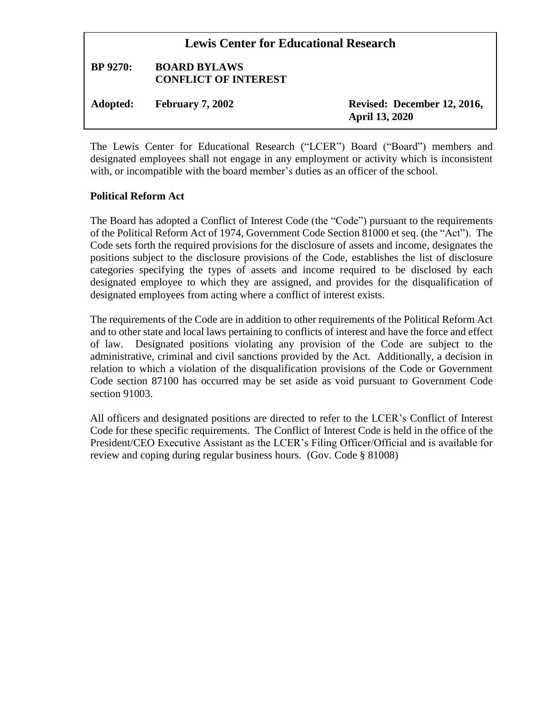| <b>Lewis Center for Educational Research</b> |                                                    |                                                      |
|----------------------------------------------|----------------------------------------------------|------------------------------------------------------|
| <b>BP</b> 9270:                              | <b>BOARD BYLAWS</b><br><b>CONFLICT OF INTEREST</b> |                                                      |
| Adopted:                                     | <b>February 7, 2002</b>                            | Revised: December 12, 2016,<br><b>April 13, 2020</b> |

The Lewis Center for Educational Research ("LCER") Board ("Board") members and designated employees shall not engage in any employment or activity which is inconsistent with, or incompatible with the board member's duties as an officer of the school.

### **Political Reform Act**

The Board has adopted a Conflict of Interest Code (the "Code") pursuant to the requirements of the Political Reform Act of 1974, Government Code Section 81000 et seq. (the "Act"). The Code sets forth the required provisions for the disclosure of assets and income, designates the positions subject to the disclosure provisions of the Code, establishes the list of disclosure categories specifying the types of assets and income required to be disclosed by each designated employee to which they are assigned, and provides for the disqualification of designated employees from acting where a conflict of interest exists.

The requirements of the Code are in addition to other requirements of the Political Reform Act and to other state and local laws pertaining to conflicts of interest and have the force and effect of law. Designated positions violating any provision of the Code are subject to the administrative, criminal and civil sanctions provided by the Act. Additionally, a decision in relation to which a violation of the disqualification provisions of the Code or Government Code section 87100 has occurred may be set aside as void pursuant to Government Code section 91003.

All officers and designated positions are directed to refer to the LCER's Conflict of Interest Code for these specific requirements. The Conflict of Interest Code is held in the office of the President/CEO Executive Assistant as the LCER's Filing Officer/Official and is available for review and coping during regular business hours. (Gov. Code § 81008)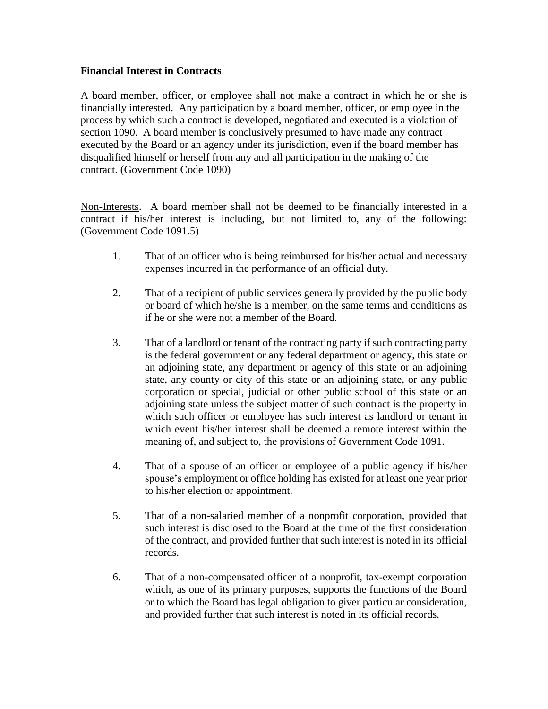# **Financial Interest in Contracts**

A board member, officer, or employee shall not make a contract in which he or she is financially interested. Any participation by a board member, officer, or employee in the process by which such a contract is developed, negotiated and executed is a violation of section 1090. A board member is conclusively presumed to have made any contract executed by the Board or an agency under its jurisdiction, even if the board member has disqualified himself or herself from any and all participation in the making of the contract. (Government Code 1090)

Non-Interests. A board member shall not be deemed to be financially interested in a contract if his/her interest is including, but not limited to, any of the following: (Government Code 1091.5)

- 1. That of an officer who is being reimbursed for his/her actual and necessary expenses incurred in the performance of an official duty.
- 2. That of a recipient of public services generally provided by the public body or board of which he/she is a member, on the same terms and conditions as if he or she were not a member of the Board.
- 3. That of a landlord or tenant of the contracting party if such contracting party is the federal government or any federal department or agency, this state or an adjoining state, any department or agency of this state or an adjoining state, any county or city of this state or an adjoining state, or any public corporation or special, judicial or other public school of this state or an adjoining state unless the subject matter of such contract is the property in which such officer or employee has such interest as landlord or tenant in which event his/her interest shall be deemed a remote interest within the meaning of, and subject to, the provisions of Government Code 1091.
- 4. That of a spouse of an officer or employee of a public agency if his/her spouse's employment or office holding has existed for at least one year prior to his/her election or appointment.
- 5. That of a non-salaried member of a nonprofit corporation, provided that such interest is disclosed to the Board at the time of the first consideration of the contract, and provided further that such interest is noted in its official records.
- 6. That of a non-compensated officer of a nonprofit, tax-exempt corporation which, as one of its primary purposes, supports the functions of the Board or to which the Board has legal obligation to giver particular consideration, and provided further that such interest is noted in its official records.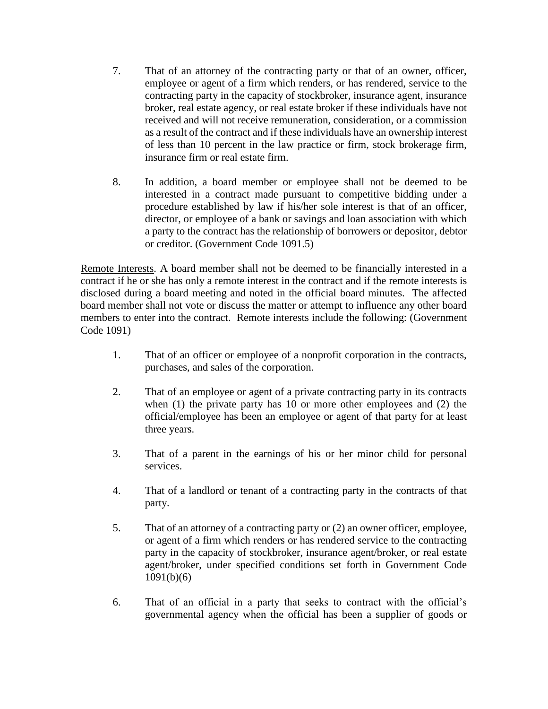- 7. That of an attorney of the contracting party or that of an owner, officer, employee or agent of a firm which renders, or has rendered, service to the contracting party in the capacity of stockbroker, insurance agent, insurance broker, real estate agency, or real estate broker if these individuals have not received and will not receive remuneration, consideration, or a commission as a result of the contract and if these individuals have an ownership interest of less than 10 percent in the law practice or firm, stock brokerage firm, insurance firm or real estate firm.
- 8. In addition, a board member or employee shall not be deemed to be interested in a contract made pursuant to competitive bidding under a procedure established by law if his/her sole interest is that of an officer, director, or employee of a bank or savings and loan association with which a party to the contract has the relationship of borrowers or depositor, debtor or creditor. (Government Code 1091.5)

Remote Interests. A board member shall not be deemed to be financially interested in a contract if he or she has only a remote interest in the contract and if the remote interests is disclosed during a board meeting and noted in the official board minutes. The affected board member shall not vote or discuss the matter or attempt to influence any other board members to enter into the contract. Remote interests include the following: (Government Code 1091)

- 1. That of an officer or employee of a nonprofit corporation in the contracts, purchases, and sales of the corporation.
- 2. That of an employee or agent of a private contracting party in its contracts when (1) the private party has 10 or more other employees and (2) the official/employee has been an employee or agent of that party for at least three years.
- 3. That of a parent in the earnings of his or her minor child for personal services.
- 4. That of a landlord or tenant of a contracting party in the contracts of that party.
- 5. That of an attorney of a contracting party or (2) an owner officer, employee, or agent of a firm which renders or has rendered service to the contracting party in the capacity of stockbroker, insurance agent/broker, or real estate agent/broker, under specified conditions set forth in Government Code 1091(b)(6)
- 6. That of an official in a party that seeks to contract with the official's governmental agency when the official has been a supplier of goods or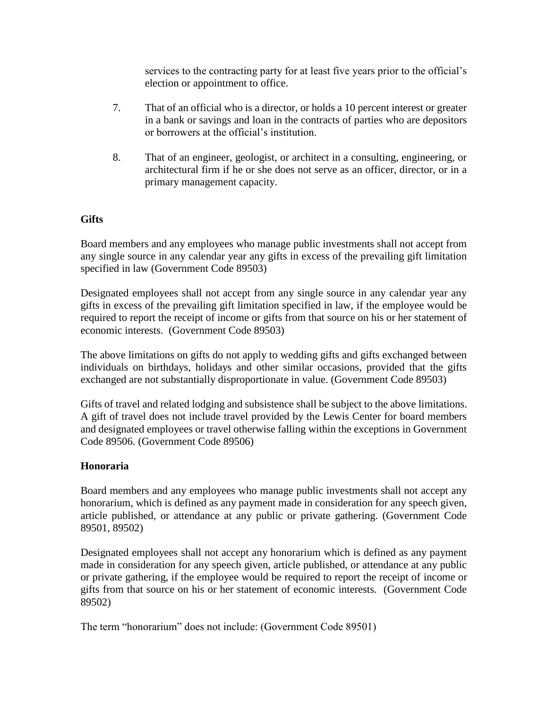services to the contracting party for at least five years prior to the official's election or appointment to office.

- 7. That of an official who is a director, or holds a 10 percent interest or greater in a bank or savings and loan in the contracts of parties who are depositors or borrowers at the official's institution.
- 8. That of an engineer, geologist, or architect in a consulting, engineering, or architectural firm if he or she does not serve as an officer, director, or in a primary management capacity.

# **Gifts**

Board members and any employees who manage public investments shall not accept from any single source in any calendar year any gifts in excess of the prevailing gift limitation specified in law (Government Code 89503)

Designated employees shall not accept from any single source in any calendar year any gifts in excess of the prevailing gift limitation specified in law, if the employee would be required to report the receipt of income or gifts from that source on his or her statement of economic interests. (Government Code 89503)

The above limitations on gifts do not apply to wedding gifts and gifts exchanged between individuals on birthdays, holidays and other similar occasions, provided that the gifts exchanged are not substantially disproportionate in value. (Government Code 89503)

Gifts of travel and related lodging and subsistence shall be subject to the above limitations. A gift of travel does not include travel provided by the Lewis Center for board members and designated employees or travel otherwise falling within the exceptions in Government Code 89506. (Government Code 89506)

### **Honoraria**

Board members and any employees who manage public investments shall not accept any honorarium, which is defined as any payment made in consideration for any speech given, article published, or attendance at any public or private gathering. (Government Code 89501, 89502)

Designated employees shall not accept any honorarium which is defined as any payment made in consideration for any speech given, article published, or attendance at any public or private gathering, if the employee would be required to report the receipt of income or gifts from that source on his or her statement of economic interests. (Government Code 89502)

The term "honorarium" does not include: (Government Code 89501)